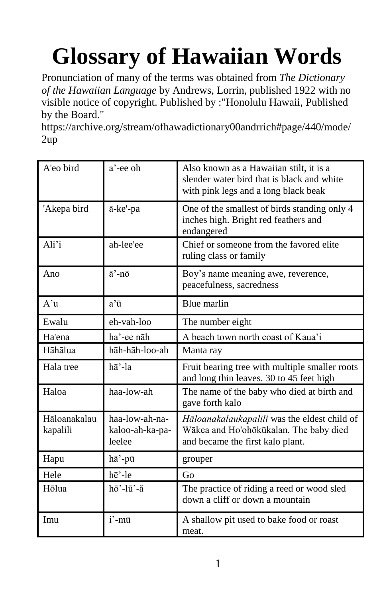## **Glossary of Hawaiian Words**

Pronunciation of many of the terms was obtained from *The Dictionary of the Hawaiian Language* by Andrews, Lorrin, published 1922 with no visible notice of copyright. Published by :"Honolulu Hawaii, Published by the Board."

https://archive.org/stream/ofhawadictionary00andrrich#page/440/mode/ 2up

| A'eo bird                | a'-ee oh                                    | Also known as a Hawaiian stilt, it is a<br>slender water bird that is black and white<br>with pink legs and a long black beak |
|--------------------------|---------------------------------------------|-------------------------------------------------------------------------------------------------------------------------------|
| 'Akepa bird              | ā-ke'-pa                                    | One of the smallest of birds standing only 4<br>inches high. Bright red feathers and<br>endangered                            |
| Ali'i                    | ah-lee'ee                                   | Chief or someone from the favored elite<br>ruling class or family                                                             |
| Ano                      | $\bar{a}$ '-nō                              | Boy's name meaning awe, reverence,<br>peacefulness, sacredness                                                                |
| $A'$ u                   | a'ū                                         | Blue marlin                                                                                                                   |
| Ewalu                    | eh-vah-loo                                  | The number eight                                                                                                              |
| Ha'ena                   | ha'-ee nāh                                  | A beach town north coast of Kaua'i                                                                                            |
| Hāhālua                  | hāh-hāh-loo-ah                              | Manta ray                                                                                                                     |
| Hala tree                | hā'-la                                      | Fruit bearing tree with multiple smaller roots<br>and long thin leaves. 30 to 45 feet high                                    |
| Haloa                    | haa-low-ah                                  | The name of the baby who died at birth and<br>gave forth kalo                                                                 |
| Hāloanakalau<br>kapalili | haa-low-ah-na-<br>kaloo-ah-ka-pa-<br>leelee | Hāloanakalaukapalili was the eldest child of<br>Wākea and Ho'ohōkūkalan. The baby died<br>and became the first kalo plant.    |
| Hapu                     | hā'-pū                                      | grouper                                                                                                                       |
| Hele                     | hē'-le                                      | Go                                                                                                                            |
| Hōlua                    | hō'-lū'-ă                                   | The practice of riding a reed or wood sled<br>down a cliff or down a mountain                                                 |
| Imu                      | i'-mū                                       | A shallow pit used to bake food or roast<br>meat.                                                                             |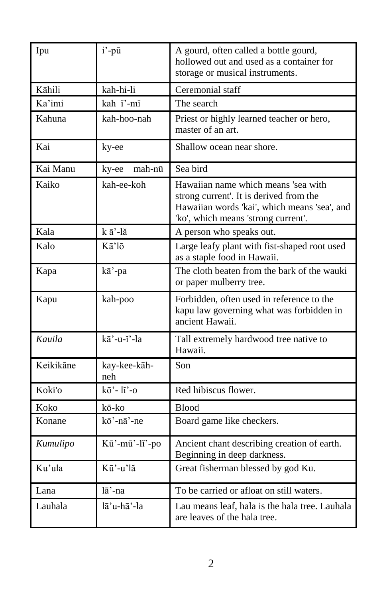| Ipu       | i'-pū                | A gourd, often called a bottle gourd,<br>hollowed out and used as a container for<br>storage or musical instruments.                                                  |
|-----------|----------------------|-----------------------------------------------------------------------------------------------------------------------------------------------------------------------|
| Kāhili    | kah-hi-li            | Ceremonial staff                                                                                                                                                      |
| Ka'imi    | kah ĭ'-mĭ            | The search                                                                                                                                                            |
| Kahuna    | kah-hoo-nah          | Priest or highly learned teacher or hero,<br>master of an art.                                                                                                        |
| Kai       | ky-ee                | Shallow ocean near shore.                                                                                                                                             |
| Kai Manu  | mah-nū<br>ky-ee      | Sea bird                                                                                                                                                              |
| Kaiko     | kah-ee-koh           | Hawaiian name which means 'sea with<br>strong current'. It is derived from the<br>Hawaiian words 'kai', which means 'sea', and<br>'ko', which means 'strong current'. |
| Kala      | kā'-lă               | A person who speaks out.                                                                                                                                              |
| Kalo      | Kā'lō                | Large leafy plant with fist-shaped root used<br>as a staple food in Hawaii.                                                                                           |
| Kapa      | kā'-pa               | The cloth beaten from the bark of the wauki<br>or paper mulberry tree.                                                                                                |
| Kapu      | kah-poo              | Forbidden, often used in reference to the<br>kapu law governing what was forbidden in<br>ancient Hawaii.                                                              |
| Kauila    | $k\bar{a}$ '-u-ĭ'-la | Tall extremely hardwood tree native to<br>Hawaii.                                                                                                                     |
| Keikikāne | kay-kee-kāh-<br>neh  | Son                                                                                                                                                                   |
| Koki'o    | $k\bar{o}'$ - li'-o  | Red hibiscus flower.                                                                                                                                                  |
| Koko      | kō-ko                | <b>Blood</b>                                                                                                                                                          |
| Konane    | kō'-nā'-ne           | Board game like checkers.                                                                                                                                             |
| Kumulipo  | Kū'-mū'-lĭ'-po       | Ancient chant describing creation of earth.<br>Beginning in deep darkness.                                                                                            |
| Ku'ula    | Kū'-u'lă             | Great fisherman blessed by god Ku.                                                                                                                                    |
| Lana      | $l\bar{a}'$ -na      | To be carried or afloat on still waters.                                                                                                                              |
| Lauhala   | lā'u-hā'-la          | Lau means leaf, hala is the hala tree. Lauhala<br>are leaves of the hala tree.                                                                                        |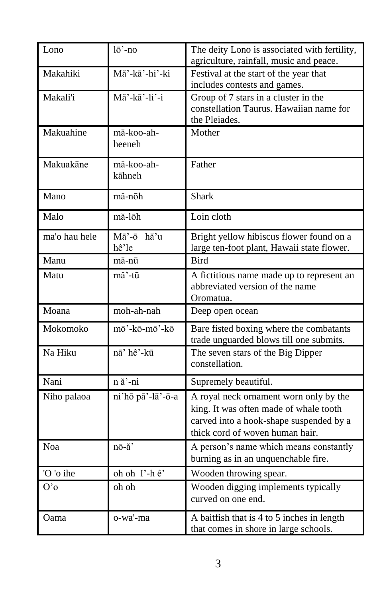| Lono          | lō'-no                          | The deity Lono is associated with fertility,<br>agriculture, rainfall, music and peace.                                                                        |
|---------------|---------------------------------|----------------------------------------------------------------------------------------------------------------------------------------------------------------|
| Makahiki      | Mă'-kā'-hi'-ki                  | Festival at the start of the year that<br>includes contests and games.                                                                                         |
| Makali'i      | $M$ ă'-kā'-li'-i                | Group of 7 stars in a cluster in the<br>constellation Taurus. Hawaiian name for<br>the Pleiades.                                                               |
| Makuahine     | mă-koo-ah-<br>heeneh            | Mother                                                                                                                                                         |
| Makuakāne     | mă-koo-ah-<br>kāhneh            | Father                                                                                                                                                         |
| Mano          | mă-nōh                          | <b>Shark</b>                                                                                                                                                   |
| Malo          | mă-lōh                          | Loin cloth                                                                                                                                                     |
| ma'o hau hele | $M\bar{a}'$ -ō<br>hă'u<br>hê'le | Bright yellow hibiscus flower found on a<br>large ten-foot plant, Hawaii state flower.                                                                         |
| Manu          | mă-nū                           | <b>Bird</b>                                                                                                                                                    |
| Matu          | mă'-tū                          | A fictitious name made up to represent an<br>abbreviated version of the name<br>Oromatua.                                                                      |
| Moana         | moh-ah-nah                      | Deep open ocean                                                                                                                                                |
| Mokomoko      | mō'-kō-mō'-kō                   | Bare fisted boxing where the combatants<br>trade unguarded blows till one submits.                                                                             |
| Na Hiku       | nā' hê'-kū                      | The seven stars of the Big Dipper<br>constellation.                                                                                                            |
| Nani          | $n \times -ni$                  | Supremely beautiful.                                                                                                                                           |
| Niho palaoa   | ni'hō pā'-lā'-ō-a               | A royal neck ornament worn only by the<br>king. It was often made of whale tooth<br>carved into a hook-shape suspended by a<br>thick cord of woven human hair. |
| Noa           | nō-ă'                           | A person's name which means constantly<br>burning as in an unquenchable fire.                                                                                  |
| 'O 'o ihe     | oh oh I'-hê'                    | Wooden throwing spear.                                                                                                                                         |
| O'            | oh oh                           | Wooden digging implements typically<br>curved on one end.                                                                                                      |
| Oama          | o-wa'-ma                        | A baitfish that is 4 to 5 inches in length<br>that comes in shore in large schools.                                                                            |